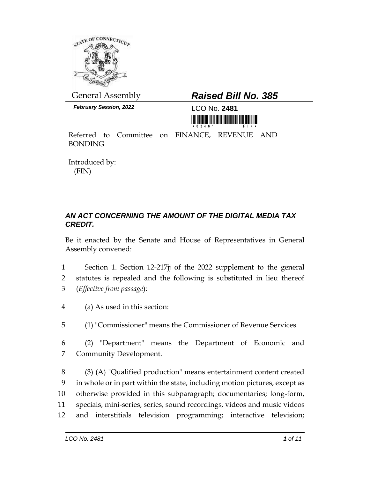

*February Session, 2022* LCO No. **2481**

## General Assembly *Raised Bill No. 385*

<u>The first in first case of the case of the first case of</u>

Referred to Committee on FINANCE, REVENUE AND BONDING

Introduced by: (FIN)

## *AN ACT CONCERNING THE AMOUNT OF THE DIGITAL MEDIA TAX CREDIT.*

Be it enacted by the Senate and House of Representatives in General Assembly convened:

- 1 Section 1. Section 12-217jj of the 2022 supplement to the general 2 statutes is repealed and the following is substituted in lieu thereof 3 (*Effective from passage*):
- 4 (a) As used in this section:
- 5 (1) "Commissioner" means the Commissioner of Revenue Services.
- 6 (2) "Department" means the Department of Economic and 7 Community Development.

 (3) (A) "Qualified production" means entertainment content created in whole or in part within the state, including motion pictures, except as otherwise provided in this subparagraph; documentaries; long-form, specials, mini-series, series, sound recordings, videos and music videos and interstitials television programming; interactive television;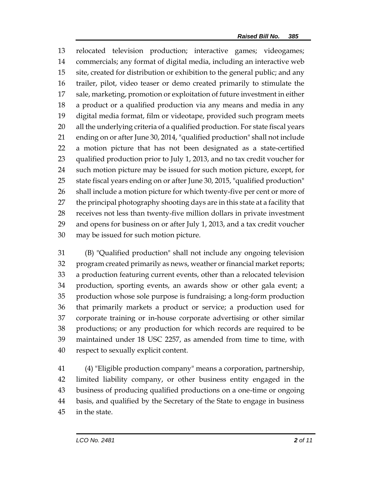relocated television production; interactive games; videogames; commercials; any format of digital media, including an interactive web site, created for distribution or exhibition to the general public; and any trailer, pilot, video teaser or demo created primarily to stimulate the sale, marketing, promotion or exploitation of future investment in either a product or a qualified production via any means and media in any digital media format, film or videotape, provided such program meets all the underlying criteria of a qualified production. For state fiscal years ending on or after June 30, 2014, "qualified production" shall not include a motion picture that has not been designated as a state-certified qualified production prior to July 1, 2013, and no tax credit voucher for such motion picture may be issued for such motion picture, except, for state fiscal years ending on or after June 30, 2015, "qualified production" shall include a motion picture for which twenty-five per cent or more of the principal photography shooting days are in this state at a facility that receives not less than twenty-five million dollars in private investment and opens for business on or after July 1, 2013, and a tax credit voucher may be issued for such motion picture.

 (B) "Qualified production" shall not include any ongoing television program created primarily as news, weather or financial market reports; a production featuring current events, other than a relocated television production, sporting events, an awards show or other gala event; a production whose sole purpose is fundraising; a long-form production that primarily markets a product or service; a production used for corporate training or in-house corporate advertising or other similar productions; or any production for which records are required to be maintained under 18 USC 2257, as amended from time to time, with respect to sexually explicit content.

 (4) "Eligible production company" means a corporation, partnership, limited liability company, or other business entity engaged in the business of producing qualified productions on a one-time or ongoing basis, and qualified by the Secretary of the State to engage in business in the state.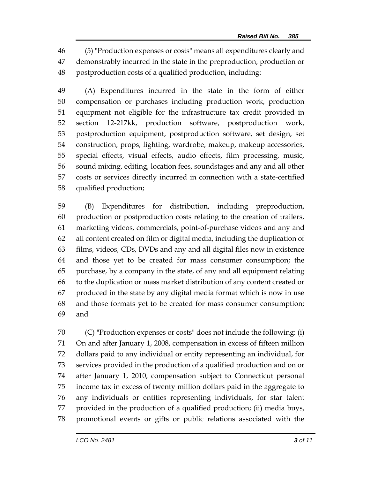(5) "Production expenses or costs" means all expenditures clearly and demonstrably incurred in the state in the preproduction, production or postproduction costs of a qualified production, including:

 (A) Expenditures incurred in the state in the form of either compensation or purchases including production work, production equipment not eligible for the infrastructure tax credit provided in section 12-217kk, production software, postproduction work, postproduction equipment, postproduction software, set design, set construction, props, lighting, wardrobe, makeup, makeup accessories, special effects, visual effects, audio effects, film processing, music, sound mixing, editing, location fees, soundstages and any and all other costs or services directly incurred in connection with a state-certified qualified production;

 (B) Expenditures for distribution, including preproduction, production or postproduction costs relating to the creation of trailers, marketing videos, commercials, point-of-purchase videos and any and all content created on film or digital media, including the duplication of films, videos, CDs, DVDs and any and all digital files now in existence and those yet to be created for mass consumer consumption; the purchase, by a company in the state, of any and all equipment relating to the duplication or mass market distribution of any content created or produced in the state by any digital media format which is now in use and those formats yet to be created for mass consumer consumption; and

 (C) "Production expenses or costs" does not include the following: (i) On and after January 1, 2008, compensation in excess of fifteen million dollars paid to any individual or entity representing an individual, for services provided in the production of a qualified production and on or after January 1, 2010, compensation subject to Connecticut personal income tax in excess of twenty million dollars paid in the aggregate to any individuals or entities representing individuals, for star talent provided in the production of a qualified production; (ii) media buys, promotional events or gifts or public relations associated with the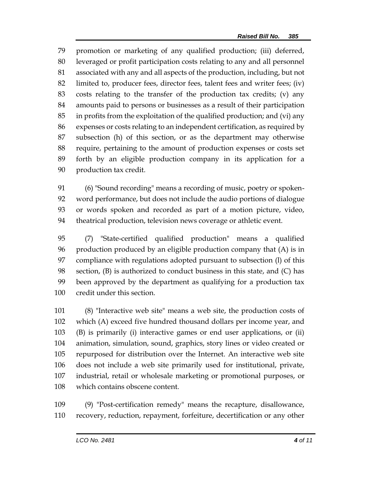promotion or marketing of any qualified production; (iii) deferred, leveraged or profit participation costs relating to any and all personnel associated with any and all aspects of the production, including, but not limited to, producer fees, director fees, talent fees and writer fees; (iv) costs relating to the transfer of the production tax credits; (v) any amounts paid to persons or businesses as a result of their participation in profits from the exploitation of the qualified production; and (vi) any expenses or costs relating to an independent certification, as required by subsection (h) of this section, or as the department may otherwise require, pertaining to the amount of production expenses or costs set forth by an eligible production company in its application for a production tax credit.

 (6) "Sound recording" means a recording of music, poetry or spoken- word performance, but does not include the audio portions of dialogue or words spoken and recorded as part of a motion picture, video, theatrical production, television news coverage or athletic event.

 (7) "State-certified qualified production" means a qualified production produced by an eligible production company that (A) is in compliance with regulations adopted pursuant to subsection (l) of this section, (B) is authorized to conduct business in this state, and (C) has been approved by the department as qualifying for a production tax credit under this section.

 (8) "Interactive web site" means a web site, the production costs of which (A) exceed five hundred thousand dollars per income year, and (B) is primarily (i) interactive games or end user applications, or (ii) animation, simulation, sound, graphics, story lines or video created or repurposed for distribution over the Internet. An interactive web site does not include a web site primarily used for institutional, private, industrial, retail or wholesale marketing or promotional purposes, or which contains obscene content.

 (9) "Post-certification remedy" means the recapture, disallowance, recovery, reduction, repayment, forfeiture, decertification or any other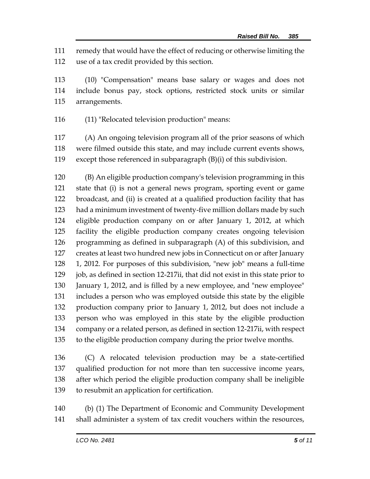remedy that would have the effect of reducing or otherwise limiting the use of a tax credit provided by this section.

 (10) "Compensation" means base salary or wages and does not include bonus pay, stock options, restricted stock units or similar arrangements.

(11) "Relocated television production" means:

 (A) An ongoing television program all of the prior seasons of which were filmed outside this state, and may include current events shows, except those referenced in subparagraph (B)(i) of this subdivision.

 (B) An eligible production company's television programming in this state that (i) is not a general news program, sporting event or game broadcast, and (ii) is created at a qualified production facility that has had a minimum investment of twenty-five million dollars made by such eligible production company on or after January 1, 2012, at which facility the eligible production company creates ongoing television programming as defined in subparagraph (A) of this subdivision, and creates at least two hundred new jobs in Connecticut on or after January 1, 2012. For purposes of this subdivision, "new job" means a full-time 129 job, as defined in section 12-217ii, that did not exist in this state prior to January 1, 2012, and is filled by a new employee, and "new employee" includes a person who was employed outside this state by the eligible production company prior to January 1, 2012, but does not include a person who was employed in this state by the eligible production company or a related person, as defined in section 12-217ii, with respect to the eligible production company during the prior twelve months.

 (C) A relocated television production may be a state-certified qualified production for not more than ten successive income years, after which period the eligible production company shall be ineligible to resubmit an application for certification.

 (b) (1) The Department of Economic and Community Development shall administer a system of tax credit vouchers within the resources,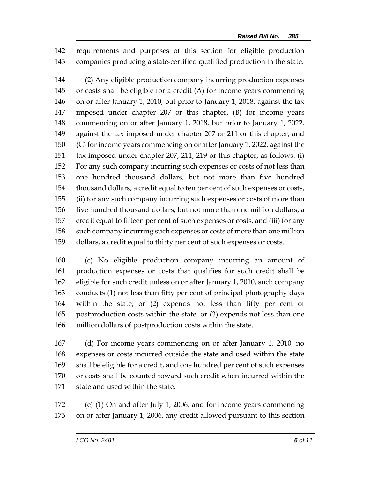requirements and purposes of this section for eligible production companies producing a state-certified qualified production in the state.

 (2) Any eligible production company incurring production expenses or costs shall be eligible for a credit (A) for income years commencing on or after January 1, 2010, but prior to January 1, 2018, against the tax imposed under chapter 207 or this chapter, (B) for income years commencing on or after January 1, 2018, but prior to January 1, 2022, against the tax imposed under chapter 207 or 211 or this chapter, and (C) for income years commencing on or after January 1, 2022, against the tax imposed under chapter 207, 211, 219 or this chapter, as follows: (i) For any such company incurring such expenses or costs of not less than one hundred thousand dollars, but not more than five hundred thousand dollars, a credit equal to ten per cent of such expenses or costs, (ii) for any such company incurring such expenses or costs of more than five hundred thousand dollars, but not more than one million dollars, a credit equal to fifteen per cent of such expenses or costs, and (iii) for any such company incurring such expenses or costs of more than one million dollars, a credit equal to thirty per cent of such expenses or costs.

 (c) No eligible production company incurring an amount of production expenses or costs that qualifies for such credit shall be eligible for such credit unless on or after January 1, 2010, such company conducts (1) not less than fifty per cent of principal photography days within the state, or (2) expends not less than fifty per cent of postproduction costs within the state, or (3) expends not less than one million dollars of postproduction costs within the state.

 (d) For income years commencing on or after January 1, 2010, no expenses or costs incurred outside the state and used within the state shall be eligible for a credit, and one hundred per cent of such expenses or costs shall be counted toward such credit when incurred within the state and used within the state.

 (e) (1) On and after July 1, 2006, and for income years commencing on or after January 1, 2006, any credit allowed pursuant to this section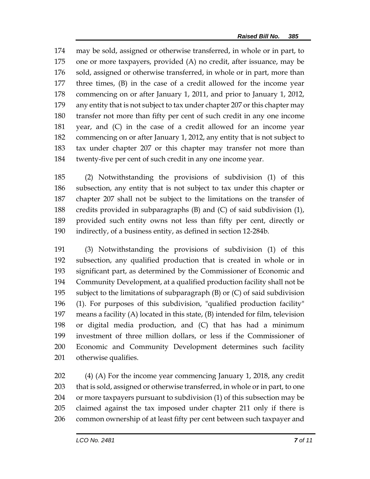may be sold, assigned or otherwise transferred, in whole or in part, to one or more taxpayers, provided (A) no credit, after issuance, may be 176 sold, assigned or otherwise transferred, in whole or in part, more than three times, (B) in the case of a credit allowed for the income year commencing on or after January 1, 2011, and prior to January 1, 2012, any entity that is not subject to tax under chapter 207 or this chapter may transfer not more than fifty per cent of such credit in any one income year, and (C) in the case of a credit allowed for an income year commencing on or after January 1, 2012, any entity that is not subject to tax under chapter 207 or this chapter may transfer not more than twenty-five per cent of such credit in any one income year.

 (2) Notwithstanding the provisions of subdivision (1) of this subsection, any entity that is not subject to tax under this chapter or chapter 207 shall not be subject to the limitations on the transfer of credits provided in subparagraphs (B) and (C) of said subdivision (1), provided such entity owns not less than fifty per cent, directly or indirectly, of a business entity, as defined in section 12-284b.

 (3) Notwithstanding the provisions of subdivision (1) of this subsection, any qualified production that is created in whole or in significant part, as determined by the Commissioner of Economic and Community Development, at a qualified production facility shall not be subject to the limitations of subparagraph (B) or (C) of said subdivision (1). For purposes of this subdivision, "qualified production facility" means a facility (A) located in this state, (B) intended for film, television or digital media production, and (C) that has had a minimum investment of three million dollars, or less if the Commissioner of Economic and Community Development determines such facility otherwise qualifies.

 (4) (A) For the income year commencing January 1, 2018, any credit that is sold, assigned or otherwise transferred, in whole or in part, to one or more taxpayers pursuant to subdivision (1) of this subsection may be claimed against the tax imposed under chapter 211 only if there is common ownership of at least fifty per cent between such taxpayer and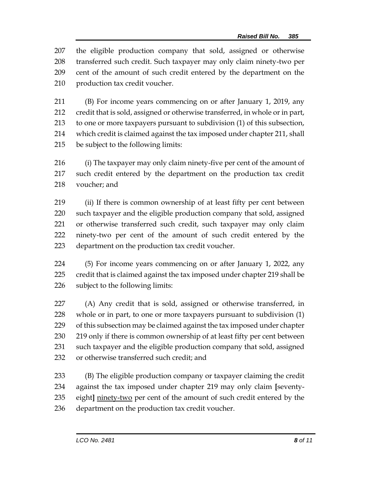the eligible production company that sold, assigned or otherwise transferred such credit. Such taxpayer may only claim ninety-two per cent of the amount of such credit entered by the department on the production tax credit voucher.

 (B) For income years commencing on or after January 1, 2019, any credit that is sold, assigned or otherwise transferred, in whole or in part, to one or more taxpayers pursuant to subdivision (1) of this subsection, which credit is claimed against the tax imposed under chapter 211, shall be subject to the following limits:

 (i) The taxpayer may only claim ninety-five per cent of the amount of such credit entered by the department on the production tax credit voucher; and

 (ii) If there is common ownership of at least fifty per cent between such taxpayer and the eligible production company that sold, assigned or otherwise transferred such credit, such taxpayer may only claim ninety-two per cent of the amount of such credit entered by the department on the production tax credit voucher.

 (5) For income years commencing on or after January 1, 2022, any credit that is claimed against the tax imposed under chapter 219 shall be subject to the following limits:

 (A) Any credit that is sold, assigned or otherwise transferred, in whole or in part, to one or more taxpayers pursuant to subdivision (1) of this subsection may be claimed against the tax imposed under chapter 230 219 only if there is common ownership of at least fifty per cent between such taxpayer and the eligible production company that sold, assigned or otherwise transferred such credit; and

 (B) The eligible production company or taxpayer claiming the credit against the tax imposed under chapter 219 may only claim **[**seventy- eight**]** ninety-two per cent of the amount of such credit entered by the department on the production tax credit voucher.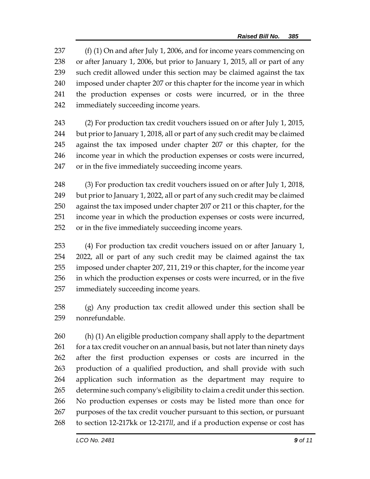237 (f) (1) On and after July 1, 2006, and for income years commencing on or after January 1, 2006, but prior to January 1, 2015, all or part of any such credit allowed under this section may be claimed against the tax imposed under chapter 207 or this chapter for the income year in which the production expenses or costs were incurred, or in the three immediately succeeding income years.

 (2) For production tax credit vouchers issued on or after July 1, 2015, but prior to January 1, 2018, all or part of any such credit may be claimed against the tax imposed under chapter 207 or this chapter, for the income year in which the production expenses or costs were incurred, or in the five immediately succeeding income years.

 (3) For production tax credit vouchers issued on or after July 1, 2018, but prior to January 1, 2022, all or part of any such credit may be claimed against the tax imposed under chapter 207 or 211 or this chapter, for the income year in which the production expenses or costs were incurred, or in the five immediately succeeding income years.

 (4) For production tax credit vouchers issued on or after January 1, 2022, all or part of any such credit may be claimed against the tax imposed under chapter 207, 211, 219 or this chapter, for the income year in which the production expenses or costs were incurred, or in the five immediately succeeding income years.

 (g) Any production tax credit allowed under this section shall be nonrefundable.

 (h) (1) An eligible production company shall apply to the department 261 for a tax credit voucher on an annual basis, but not later than ninety days after the first production expenses or costs are incurred in the production of a qualified production, and shall provide with such application such information as the department may require to determine such company's eligibility to claim a credit under this section. No production expenses or costs may be listed more than once for purposes of the tax credit voucher pursuant to this section, or pursuant to section 12-217kk or 12-217*ll*, and if a production expense or cost has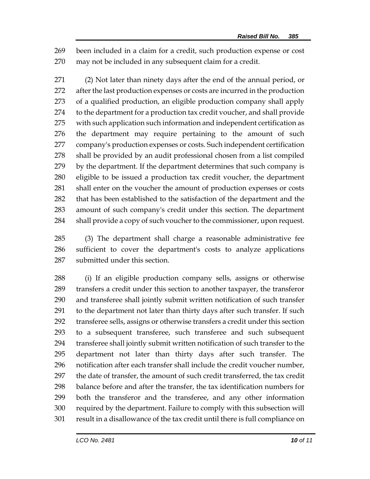been included in a claim for a credit, such production expense or cost may not be included in any subsequent claim for a credit.

 (2) Not later than ninety days after the end of the annual period, or after the last production expenses or costs are incurred in the production of a qualified production, an eligible production company shall apply to the department for a production tax credit voucher, and shall provide with such application such information and independent certification as the department may require pertaining to the amount of such company's production expenses or costs. Such independent certification shall be provided by an audit professional chosen from a list compiled by the department. If the department determines that such company is eligible to be issued a production tax credit voucher, the department shall enter on the voucher the amount of production expenses or costs that has been established to the satisfaction of the department and the amount of such company's credit under this section. The department shall provide a copy of such voucher to the commissioner, upon request.

 (3) The department shall charge a reasonable administrative fee sufficient to cover the department's costs to analyze applications submitted under this section.

 (i) If an eligible production company sells, assigns or otherwise transfers a credit under this section to another taxpayer, the transferor and transferee shall jointly submit written notification of such transfer to the department not later than thirty days after such transfer. If such transferee sells, assigns or otherwise transfers a credit under this section to a subsequent transferee, such transferee and such subsequent transferee shall jointly submit written notification of such transfer to the department not later than thirty days after such transfer. The notification after each transfer shall include the credit voucher number, the date of transfer, the amount of such credit transferred, the tax credit balance before and after the transfer, the tax identification numbers for both the transferor and the transferee, and any other information required by the department. Failure to comply with this subsection will result in a disallowance of the tax credit until there is full compliance on